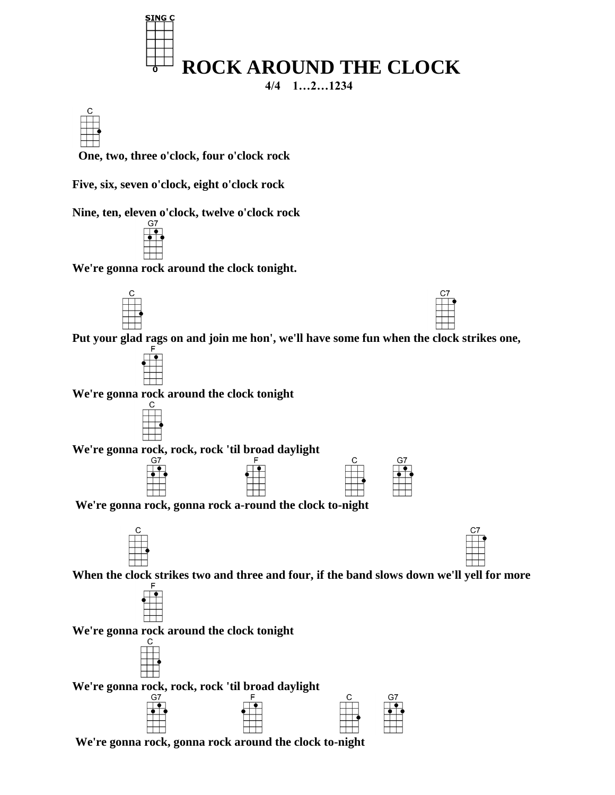

 **One, two, three o'clock, four o'clock rock**

**Five, six, seven o'clock, eight o'clock rock**

**Nine, ten, eleven o'clock, twelve o'clock rock**



**We're gonna rock around the clock tonight.**







**We're gonna rock around the clock tonight**



**We're gonna rock, rock, rock 'til broad daylight**



**We're gonna rock, gonna rock a-round the clock to-night**





**When the clock strikes two and three and four, if the band slows down we'll yell for more**



**We're gonna rock around the clock tonight**



**We're gonna rock, rock, rock 'til broad daylight**



**We're gonna rock, gonna rock around the clock to-night**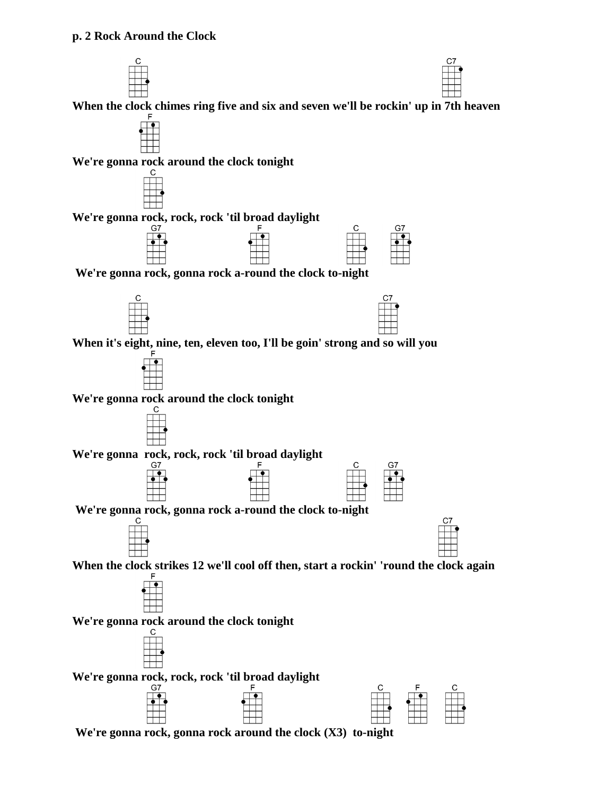



**When the clock chimes ring five and six and seven we'll be rockin' up in 7th heaven**



**We're gonna rock around the clock tonight**



**We're gonna rock, gonna rock around the clock (X3) to-night**